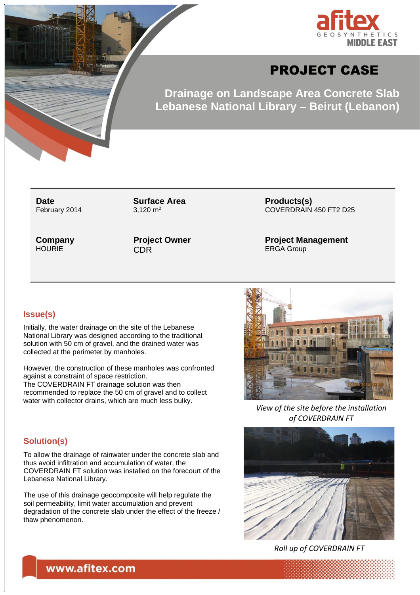

# PROJECT CASE

**Drainage on Landscape Area Concrete Slab Lebanese National Library – Beirut (Lebanon)**

**Date** February 2014

**Surface Area** 3.120  $m<sup>2</sup>$ 

**Company HOURIE** 

**Project Owner** CDR

**Products(s)** COVERDRAIN 450 FT2 D25

**Project Management** ERGA Group

#### **Issue(s)**

Initially, the water drainage on the site of the Lebanese National Library was designed according to the traditional solution with 50 cm of gravel, and the drained water was collected at the perimeter by manholes.

However, the construction of these manholes was confronted against a constraint of space restriction. The COVERDRAIN FT drainage solution was then recommended to replace the 50 cm of gravel and to collect water with collector drains, which are much less bulky.

#### **Solution(s)**

To allow the drainage of rainwater under the concrete slab and thus avoid infiltration and accumulation of water, the COVERDRAIN FT solution was installed on the forecourt of the Lebanese National Library.

The use of this drainage geocomposite will help regulate the soil permeability, limit water accumulation and prevent degradation of the concrete slab under the effect of the freeze / thaw phenomenon.



*View of the site before the installation of COVERDRAIN FT*



*Roll up of COVERDRAIN FT*

## www.afitex.com